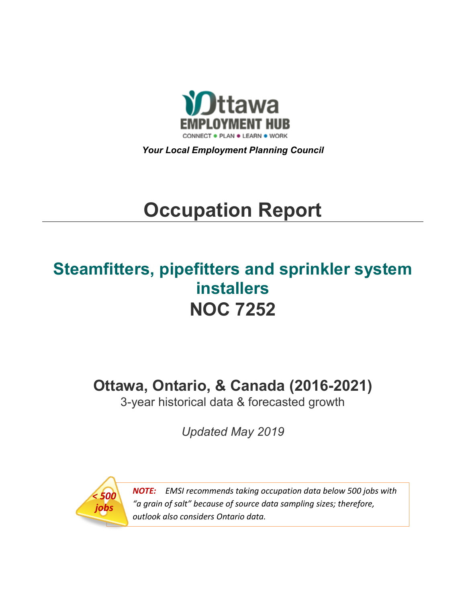

*Your Local Employment Planning Council*

# **Occupation Report**

# **Steamfitters, pipefitters and sprinkler system installers NOC 7252**

**Ottawa, Ontario, & Canada (2016-2021)**

3-year historical data & forecasted growth

*Updated May 2019*



*NOTE: EMSI recommends taking occupation data below 500 jobs with "a grain of salt" because of source data sampling sizes; therefore, outlook also considers Ontario data.*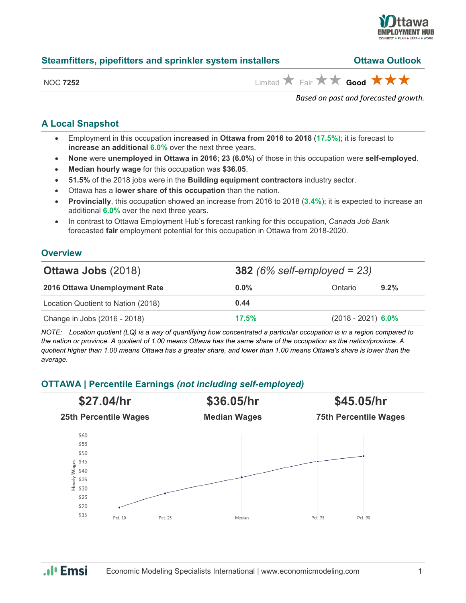

| Steamfitters, pipefitters and sprinkler system installers | <b>Ottawa Outlook</b>                                                         |  |  |
|-----------------------------------------------------------|-------------------------------------------------------------------------------|--|--|
| <b>NOC 7252</b>                                           | Limited $\bigstar$ Fair $\bigstar \bigstar$ Good $\bigstar \bigstar \bigstar$ |  |  |

*Based on past and forecasted growth.*

#### **A Local Snapshot**

- Employment in this occupation **increased in Ottawa from 2016 to 2018** (**17.5%**); it is forecast to **increase an additional 6.0%** over the next three years.
- **None** were **unemployed in Ottawa in 2016; 23 (6.0%)** of those in this occupation were **self-employed**.
- **Median hourly wage** for this occupation was **\$36.05**.
- **51.5%** of the 2018 jobs were in the **Building equipment contractors** industry sector.
- Ottawa has a **lower share of this occupation** than the nation.
- **Provincially**, this occupation showed an increase from 2016 to 2018 (**3.4%**); it is expected to increase an additional **6.0%** over the next three years.
- In contrast to Ottawa Employment Hub's forecast ranking for this occupation, *Canada Job Bank*  forecasted **fair** employment potential for this occupation in Ottawa from 2018-2020.

#### **Overview**

| <b>Ottawa Jobs (2018)</b>          |         | <b>382</b> (6% self-employed = 23) |
|------------------------------------|---------|------------------------------------|
| 2016 Ottawa Unemployment Rate      | $0.0\%$ | 9.2%<br>Ontario                    |
| Location Quotient to Nation (2018) | 0.44    |                                    |
| Change in Jobs (2016 - 2018)       | 17.5%   | $(2018 - 2021)$ 6.0%               |

*NOTE: Location quotient (LQ) is a way of quantifying how concentrated a particular occupation is in a region compared to the nation or province. A quotient of 1.00 means Ottawa has the same share of the occupation as the nation/province. A quotient higher than 1.00 means Ottawa has a greater share, and lower than 1.00 means Ottawa's share is lower than the average.*

## **OTTAWA | Percentile Earnings** *(not including self-employed)*



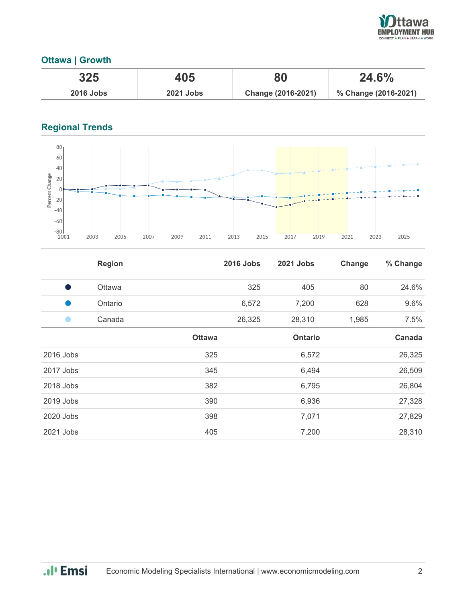

### **Ottawa | Growth**

| 325              | 405              | 80                 | 24.6%                |
|------------------|------------------|--------------------|----------------------|
| <b>2016 Jobs</b> | <b>2021 Jobs</b> | Change (2016-2021) | % Change (2016-2021) |

# **Regional Trends**



|           | <b>Region</b> |               | <b>2016 Jobs</b> | <b>2021 Jobs</b> | Change | % Change |
|-----------|---------------|---------------|------------------|------------------|--------|----------|
| - 1       | Ottawa        |               | 325              | 405              | 80     | 24.6%    |
|           | Ontario       |               | 6,572            | 7,200            | 628    | 9.6%     |
|           | Canada        |               | 26,325           | 28,310           | 1,985  | 7.5%     |
|           |               | <b>Ottawa</b> |                  | <b>Ontario</b>   |        | Canada   |
| 2016 Jobs |               | 325           |                  | 6,572            |        | 26,325   |
| 2017 Jobs |               | 345           |                  | 6,494            |        | 26,509   |
| 2018 Jobs |               | 382           |                  | 6,795            |        | 26,804   |
| 2019 Jobs |               | 390           |                  | 6,936            |        | 27,328   |
| 2020 Jobs |               | 398           |                  | 7,071            |        | 27,829   |
| 2021 Jobs |               | 405           |                  | 7,200            |        | 28,310   |

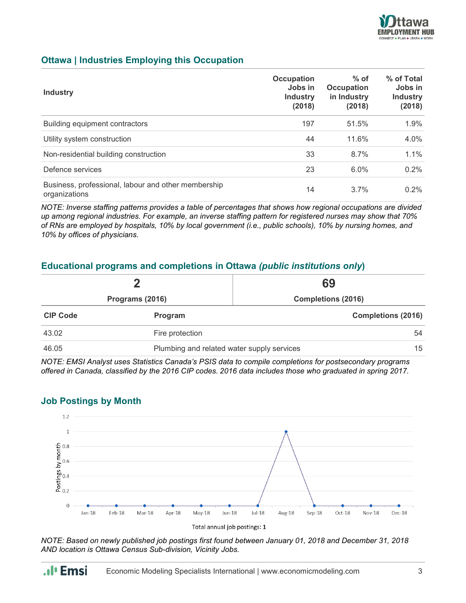

#### **Ottawa | Industries Employing this Occupation**

| <b>Industry</b>                                                      | Occupation<br>Jobs in<br><b>Industry</b><br>(2018) | $%$ of<br><b>Occupation</b><br>in Industry<br>(2018) | % of Total<br>Jobs in<br><b>Industry</b><br>(2018) |
|----------------------------------------------------------------------|----------------------------------------------------|------------------------------------------------------|----------------------------------------------------|
| Building equipment contractors                                       | 197                                                | 51.5%                                                | 1.9%                                               |
| Utility system construction                                          | 44                                                 | 11.6%                                                | $4.0\%$                                            |
| Non-residential building construction                                | 33                                                 | 8.7%                                                 | 1.1%                                               |
| Defence services                                                     | 23                                                 | 6.0%                                                 | $0.2\%$                                            |
| Business, professional, labour and other membership<br>organizations | 14                                                 | 3.7%                                                 | $0.2\%$                                            |

*NOTE: Inverse staffing patterns provides a table of percentages that shows how regional occupations are divided up among regional industries. For example, an inverse staffing pattern for registered nurses may show that 70% of RNs are employed by hospitals, 10% by local government (i.e., public schools), 10% by nursing homes, and 10% by offices of physicians.*

#### **Educational programs and completions in Ottawa** *(public institutions only***)**

| Programs (2016) |                 | 69<br><b>Completions (2016)</b>                                |  |
|-----------------|-----------------|----------------------------------------------------------------|--|
|                 |                 |                                                                |  |
| 43.02           | Fire protection | 54                                                             |  |
| 46.05           |                 | 15 <sup>15</sup><br>Plumbing and related water supply services |  |

*NOTE: EMSI Analyst uses Statistics Canada's PSIS data to compile completions for postsecondary programs offered in Canada, classified by the 2016 CIP codes. 2016 data includes those who graduated in spring 2017.*

#### **Job Postings by Month**





*NOTE: Based on newly published job postings first found between January 01, 2018 and December 31, 2018 AND location is Ottawa Census Sub-division, Vicinity Jobs.*